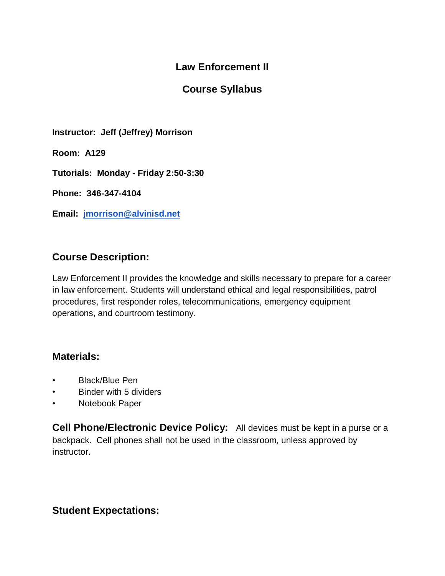# **Law Enforcement II**

## **Course Syllabus**

**Instructor: Jeff (Jeffrey) Morrison**

**Room: A129**

**Tutorials: Monday - Friday 2:50-3:30**

**Phone: 346-347-4104**

**Email: [jmorrison@alvinisd.net](mailto:jmorrison@alvinisd.net)**

### **Course Description:**

Law Enforcement II provides the knowledge and skills necessary to prepare for a career in law enforcement. Students will understand ethical and legal responsibilities, patrol procedures, first responder roles, telecommunications, emergency equipment operations, and courtroom testimony.

#### **Materials:**

- Black/Blue Pen
- Binder with 5 dividers
- Notebook Paper

**Cell Phone/Electronic Device Policy:** All devices must be kept in a purse or a backpack. Cell phones shall not be used in the classroom, unless approved by instructor.

#### **Student Expectations:**